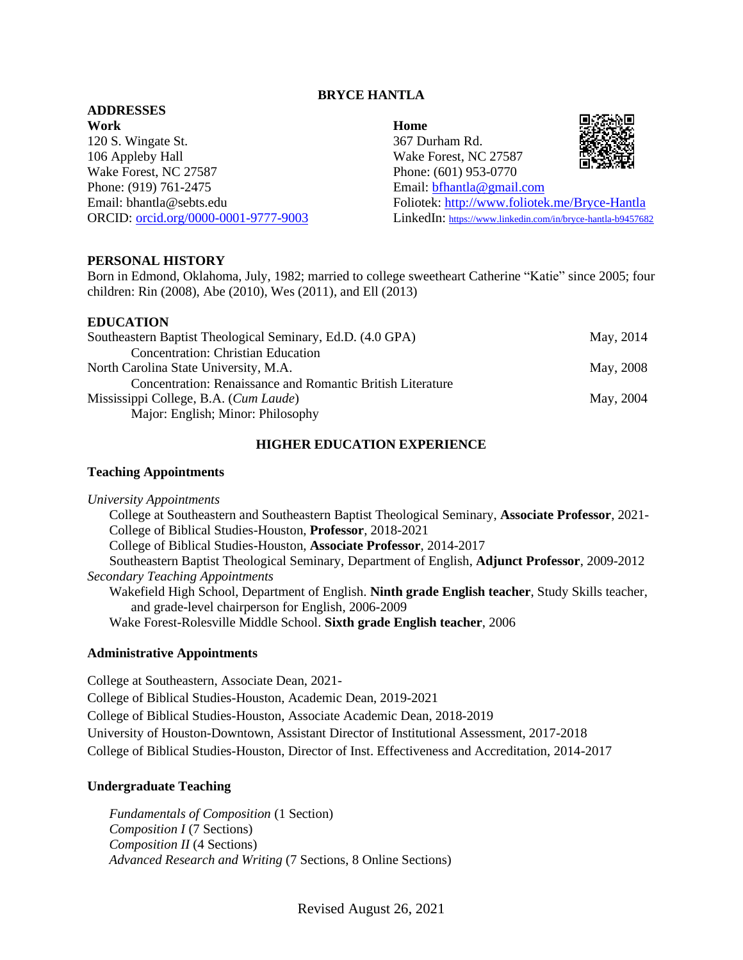#### **BRYCE HANTLA**

#### **ADDRESSES Work**

120 S. Wingate St. 106 Appleby Hall Wake Forest, NC 27587 Phone: (919) 761-2475 Email: bhantla@sebts.edu ORCID: [orcid.org/0000-0001-9777-9003](http://orcid.org/0000-0001-9777-9003)

**Home** 367 Durham Rd. Wake Forest, NC 27587 Phone: (601) 953-0770 Email: [bfhantla@gmail.com](mailto:bfhantla@gmail.com) Foliotek:<http://www.foliotek.me/Bryce-Hantla> LinkedIn: <https://www.linkedin.com/in/bryce-hantla-b9457682>

#### **PERSONAL HISTORY**

Born in Edmond, Oklahoma, July, 1982; married to college sweetheart Catherine "Katie" since 2005; four children: Rin (2008), Abe (2010), Wes (2011), and Ell (2013)

#### **EDUCATION**

| Southeastern Baptist Theological Seminary, Ed.D. (4.0 GPA)        | May, 2014 |
|-------------------------------------------------------------------|-----------|
| <b>Concentration: Christian Education</b>                         |           |
| North Carolina State University, M.A.                             | May, 2008 |
| <b>Concentration: Renaissance and Romantic British Literature</b> |           |
| Mississippi College, B.A. (Cum Laude)                             | May, 2004 |
| Major: English; Minor: Philosophy                                 |           |

#### **HIGHER EDUCATION EXPERIENCE**

#### **Teaching Appointments**

*University Appointments* College at Southeastern and Southeastern Baptist Theological Seminary, **Associate Professor**, 2021- College of Biblical Studies-Houston, **Professor**, 2018-2021 College of Biblical Studies-Houston, **Associate Professor**, 2014-2017 Southeastern Baptist Theological Seminary, Department of English, **Adjunct Professor**, 2009-2012 *Secondary Teaching Appointments* Wakefield High School, Department of English. **Ninth grade English teacher**, Study Skills teacher, and grade-level chairperson for English, 2006-2009 Wake Forest-Rolesville Middle School. **Sixth grade English teacher**, 2006

#### **Administrative Appointments**

College at Southeastern, Associate Dean, 2021- College of Biblical Studies-Houston, Academic Dean, 2019-2021 College of Biblical Studies-Houston, Associate Academic Dean, 2018-2019 University of Houston-Downtown, Assistant Director of Institutional Assessment, 2017-2018 College of Biblical Studies-Houston, Director of Inst. Effectiveness and Accreditation, 2014-2017

#### **Undergraduate Teaching**

*Fundamentals of Composition* (1 Section) *Composition I* (7 Sections) *Composition II* (4 Sections) *Advanced Research and Writing* (7 Sections, 8 Online Sections)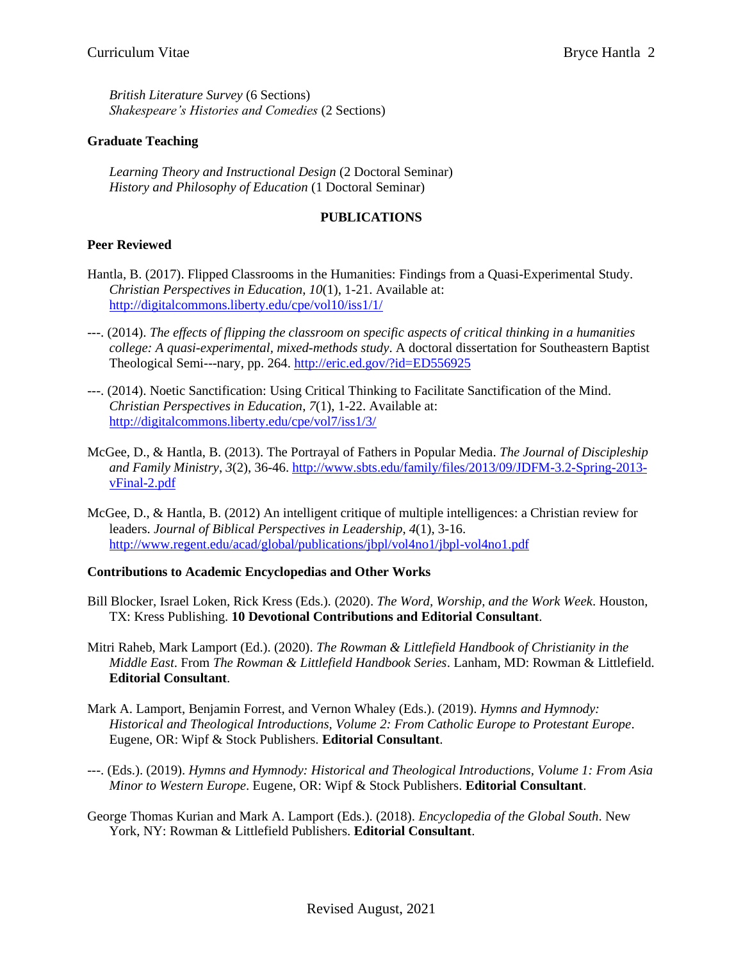*British Literature Survey* (6 Sections) *Shakespeare's Histories and Comedies* (2 Sections)

## **Graduate Teaching**

*Learning Theory and Instructional Design* (2 Doctoral Seminar) *History and Philosophy of Education* (1 Doctoral Seminar)

## **PUBLICATIONS**

## **Peer Reviewed**

- Hantla, B. (2017). Flipped Classrooms in the Humanities: Findings from a Quasi-Experimental Study. *Christian Perspectives in Education*, *10*(1), 1-21. Available at: <http://digitalcommons.liberty.edu/cpe/vol10/iss1/1/>
- ---. (2014). *The effects of flipping the classroom on specific aspects of critical thinking in a humanities college: A quasi-experimental, mixed-methods study*. A doctoral dissertation for Southeastern Baptist Theological Semi---nary, pp. 264. <http://eric.ed.gov/?id=ED556925>
- ---. (2014). Noetic Sanctification: Using Critical Thinking to Facilitate Sanctification of the Mind. *Christian Perspectives in Education*, *7*(1), 1-22. Available at: <http://digitalcommons.liberty.edu/cpe/vol7/iss1/3/>
- McGee, D., & Hantla, B. (2013). The Portrayal of Fathers in Popular Media. *The Journal of Discipleship and Family Ministry*, *3*(2), 36-46. [http://www.sbts.edu/family/files/2013/09/JDFM-3.2-Spring-2013](http://www.sbts.edu/family/files/2013/09/JDFM-3.2-Spring-2013-vFinal-2.pdf) [vFinal-2.pdf](http://www.sbts.edu/family/files/2013/09/JDFM-3.2-Spring-2013-vFinal-2.pdf)
- McGee, D., & Hantla, B. (2012) An intelligent critique of multiple intelligences: a Christian review for leaders. *Journal of Biblical Perspectives in Leadership*, *4*(1), 3-16. <http://www.regent.edu/acad/global/publications/jbpl/vol4no1/jbpl-vol4no1.pdf>

### **Contributions to Academic Encyclopedias and Other Works**

- Bill Blocker, Israel Loken, Rick Kress (Eds.)*.* (2020). *The Word, Worship, and the Work Week*. Houston, TX: Kress Publishing. **10 Devotional Contributions and Editorial Consultant**.
- Mitri Raheb, Mark Lamport (Ed.). (2020). *The Rowman & Littlefield Handbook of Christianity in the Middle East*. From *The Rowman & Littlefield Handbook Series*. Lanham, MD: Rowman & Littlefield. **Editorial Consultant**.
- Mark A. Lamport, Benjamin Forrest, and Vernon Whaley (Eds.). (2019). *Hymns and Hymnody: Historical and Theological Introductions, Volume 2: From Catholic Europe to Protestant Europe*. Eugene, OR: Wipf & Stock Publishers. **Editorial Consultant**.
- ---. (Eds.). (2019). *Hymns and Hymnody: Historical and Theological Introductions, Volume 1: From Asia Minor to Western Europe*. Eugene, OR: Wipf & Stock Publishers. **Editorial Consultant**.
- George Thomas Kurian and Mark A. Lamport (Eds.). (2018). *Encyclopedia of the Global South*. New York, NY: Rowman & Littlefield Publishers. **Editorial Consultant**.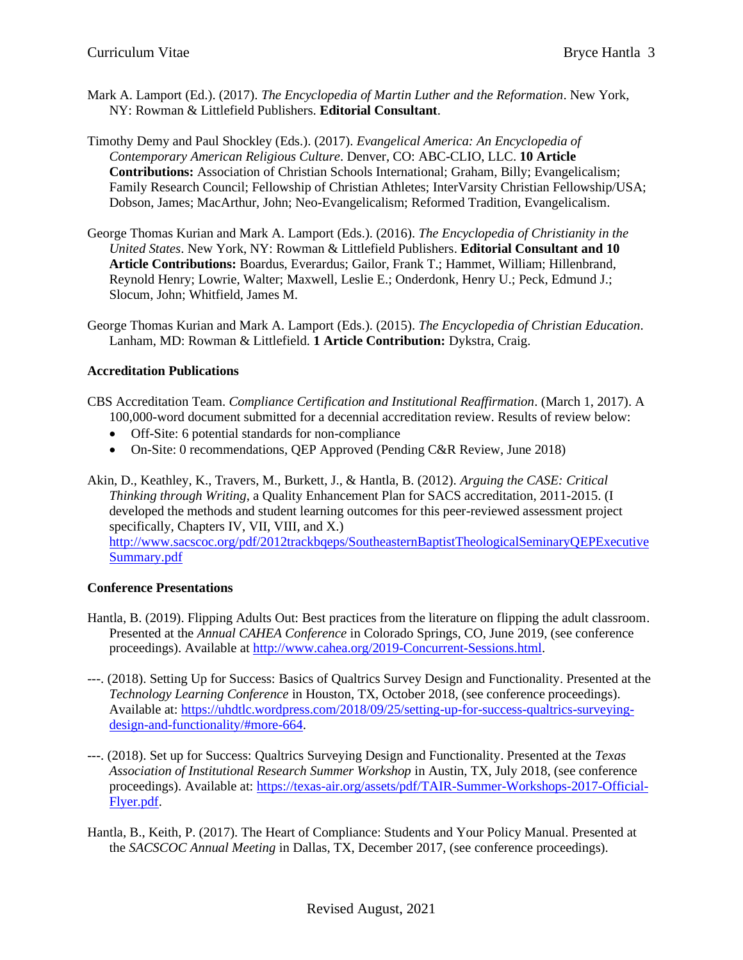- Mark A. Lamport (Ed.). (2017). *The Encyclopedia of Martin Luther and the Reformation*. New York, NY: Rowman & Littlefield Publishers. **Editorial Consultant**.
- Timothy Demy and Paul Shockley (Eds.). (2017). *Evangelical America: An Encyclopedia of Contemporary American Religious Culture*. Denver, CO: ABC-CLIO, LLC. **10 Article Contributions:** Association of Christian Schools International; Graham, Billy; Evangelicalism; Family Research Council; Fellowship of Christian Athletes; InterVarsity Christian Fellowship/USA; Dobson, James; MacArthur, John; Neo-Evangelicalism; Reformed Tradition, Evangelicalism.
- George Thomas Kurian and Mark A. Lamport (Eds.). (2016). *The Encyclopedia of Christianity in the United States*. New York, NY: Rowman & Littlefield Publishers. **Editorial Consultant and 10 Article Contributions:** Boardus, Everardus; Gailor, Frank T.; Hammet, William; Hillenbrand, Reynold Henry; Lowrie, Walter; Maxwell, Leslie E.; Onderdonk, Henry U.; Peck, Edmund J.; Slocum, John; Whitfield, James M.
- George Thomas Kurian and Mark A. Lamport (Eds.). (2015). *The Encyclopedia of Christian Education*. Lanham, MD: Rowman & Littlefield. **1 Article Contribution:** Dykstra, Craig.

# **Accreditation Publications**

- CBS Accreditation Team. *Compliance Certification and Institutional Reaffirmation*. (March 1, 2017). A 100,000-word document submitted for a decennial accreditation review. Results of review below:
	- Off-Site: 6 potential standards for non-compliance
	- On-Site: 0 recommendations, QEP Approved (Pending C&R Review, June 2018)
- Akin, D., Keathley, K., Travers, M., Burkett, J., & Hantla, B. (2012). *Arguing the CASE: Critical Thinking through Writing*, a Quality Enhancement Plan for SACS accreditation, 2011-2015. (I developed the methods and student learning outcomes for this peer-reviewed assessment project specifically, Chapters IV, VII, VIII, and X.) [http://www.sacscoc.org/pdf/2012trackbqeps/SoutheasternBaptistTheologicalSeminaryQEPExecutive](http://www.sacscoc.org/pdf/2012trackbqeps/SoutheasternBaptistTheologicalSeminaryQEPExecutiveSummary.pdf) [Summary.pdf](http://www.sacscoc.org/pdf/2012trackbqeps/SoutheasternBaptistTheologicalSeminaryQEPExecutiveSummary.pdf)

# **Conference Presentations**

- Hantla, B. (2019). Flipping Adults Out: Best practices from the literature on flipping the adult classroom. Presented at the *Annual CAHEA Conference* in Colorado Springs, CO, June 2019, (see conference proceedings). Available at [http://www.cahea.org/2019-Concurrent-Sessions.html.](http://www.cahea.org/2019-Concurrent-Sessions.html)
- ---. (2018). Setting Up for Success: Basics of Qualtrics Survey Design and Functionality. Presented at the *Technology Learning Conference* in Houston, TX, October 2018, (see conference proceedings). Available at: [https://uhdtlc.wordpress.com/2018/09/25/setting-up-for-success-qualtrics-surveying](https://uhdtlc.wordpress.com/2018/09/25/setting-up-for-success-qualtrics-surveying-design-and-functionality/#more-664)[design-and-functionality/#more-664.](https://uhdtlc.wordpress.com/2018/09/25/setting-up-for-success-qualtrics-surveying-design-and-functionality/#more-664)
- ---. (2018). Set up for Success: Qualtrics Surveying Design and Functionality. Presented at the *Texas Association of Institutional Research Summer Workshop* in Austin, TX, July 2018, (see conference proceedings). Available at: [https://texas-air.org/assets/pdf/TAIR-Summer-Workshops-2017-Official-](https://texas-air.org/assets/pdf/TAIR-Summer-Workshops-2017-Official-Flyer.pdf)[Flyer.pdf.](https://texas-air.org/assets/pdf/TAIR-Summer-Workshops-2017-Official-Flyer.pdf)
- Hantla, B., Keith, P. (2017). The Heart of Compliance: Students and Your Policy Manual. Presented at the *SACSCOC Annual Meeting* in Dallas, TX, December 2017, (see conference proceedings).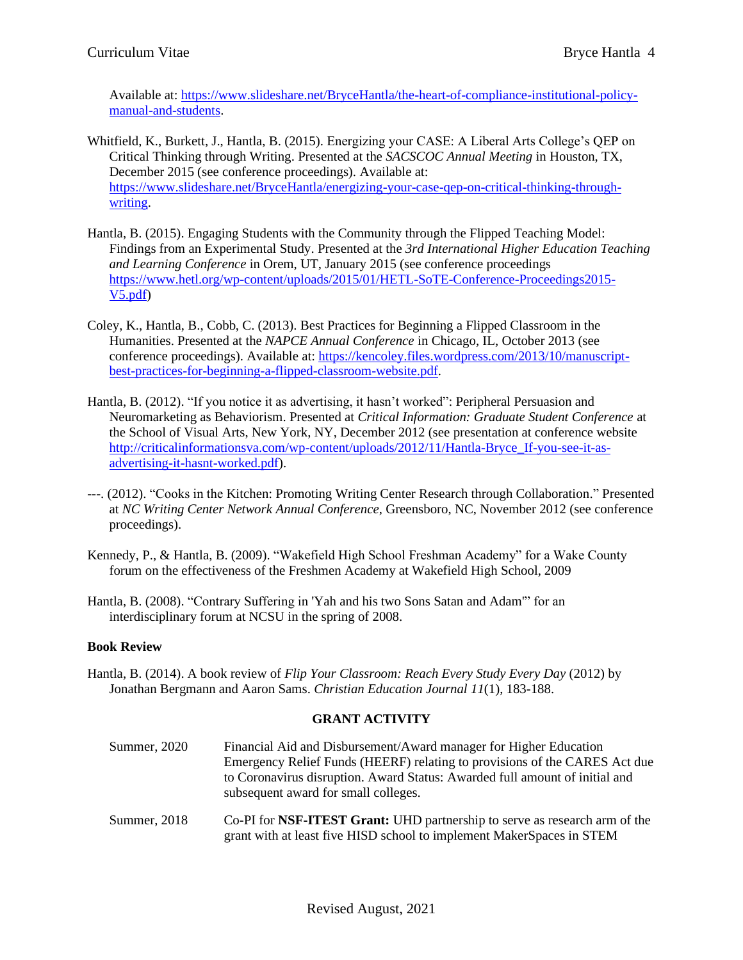Available at: [https://www.slideshare.net/BryceHantla/the-heart-of-compliance-institutional-policy](https://www.slideshare.net/BryceHantla/the-heart-of-compliance-institutional-policy-manual-and-students)[manual-and-students.](https://www.slideshare.net/BryceHantla/the-heart-of-compliance-institutional-policy-manual-and-students)

- Whitfield, K., Burkett, J., Hantla, B. (2015). Energizing your CASE: A Liberal Arts College's QEP on Critical Thinking through Writing. Presented at the *SACSCOC Annual Meeting* in Houston, TX, December 2015 (see conference proceedings). Available at: [https://www.slideshare.net/BryceHantla/energizing-your-case-qep-on-critical-thinking-through](https://www.slideshare.net/BryceHantla/energizing-your-case-qep-on-critical-thinking-through-writing)[writing.](https://www.slideshare.net/BryceHantla/energizing-your-case-qep-on-critical-thinking-through-writing)
- Hantla, B. (2015). Engaging Students with the Community through the Flipped Teaching Model: Findings from an Experimental Study. Presented at the *3rd International Higher Education Teaching and Learning Conference* in Orem, UT, January 2015 (see conference proceedings [https://www.hetl.org/wp-content/uploads/2015/01/HETL-SoTE-Conference-Proceedings2015-](https://www.hetl.org/wp-content/uploads/2015/01/HETL-SoTE-Conference-Proceedings2015-V5.pdf) [V5.pdf\)](https://www.hetl.org/wp-content/uploads/2015/01/HETL-SoTE-Conference-Proceedings2015-V5.pdf)
- Coley, K., Hantla, B., Cobb, C. (2013). Best Practices for Beginning a Flipped Classroom in the Humanities. Presented at the *NAPCE Annual Conference* in Chicago, IL, October 2013 (see conference proceedings). Available at: [https://kencoley.files.wordpress.com/2013/10/manuscript](https://kencoley.files.wordpress.com/2013/10/manuscript-best-practices-for__-beginning-a-flipped-classroom-website.pdf)[best-practices-for-beginning-a-flipped-classroom-website.pdf.](https://kencoley.files.wordpress.com/2013/10/manuscript-best-practices-for__-beginning-a-flipped-classroom-website.pdf)
- Hantla, B. (2012). "If you notice it as advertising, it hasn't worked": Peripheral Persuasion and Neuromarketing as Behaviorism. Presented at *Critical Information: Graduate Student Conference* at the School of Visual Arts, New York, NY, December 2012 (see presentation at conference website [http://criticalinformationsva.com/wp-content/uploads/2012/11/Hantla-Bryce\\_If-you-see-it-as](http://criticalinformationsva.com/wp-content/uploads/2012/11/Hantla-Bryce_If-you-see-it-as-advertising-it-hasnt-worked.pdf)[advertising-it-hasnt-worked.pdf\)](http://criticalinformationsva.com/wp-content/uploads/2012/11/Hantla-Bryce_If-you-see-it-as-advertising-it-hasnt-worked.pdf).
- ---. (2012). "Cooks in the Kitchen: Promoting Writing Center Research through Collaboration." Presented at *NC Writing Center Network Annual Conference*, Greensboro, NC, November 2012 (see conference proceedings).
- Kennedy, P., & Hantla, B. (2009). "Wakefield High School Freshman Academy" for a Wake County forum on the effectiveness of the Freshmen Academy at Wakefield High School, 2009
- Hantla, B. (2008). "Contrary Suffering in 'Yah and his two Sons Satan and Adam'" for an interdisciplinary forum at NCSU in the spring of 2008.

# **Book Review**

Hantla, B. (2014). A book review of *Flip Your Classroom: Reach Every Study Every Day* (2012) by Jonathan Bergmann and Aaron Sams. *Christian Education Journal 11*(1), 183-188.

# **GRANT ACTIVITY**

- Summer, 2020 Financial Aid and Disbursement/Award manager for Higher Education Emergency Relief Funds (HEERF) relating to provisions of the CARES Act due to Coronavirus disruption. Award Status: Awarded full amount of initial and subsequent award for small colleges.
- Summer, 2018 Co-PI for **NSF-ITEST Grant:** UHD partnership to serve as research arm of the grant with at least five HISD school to implement MakerSpaces in STEM